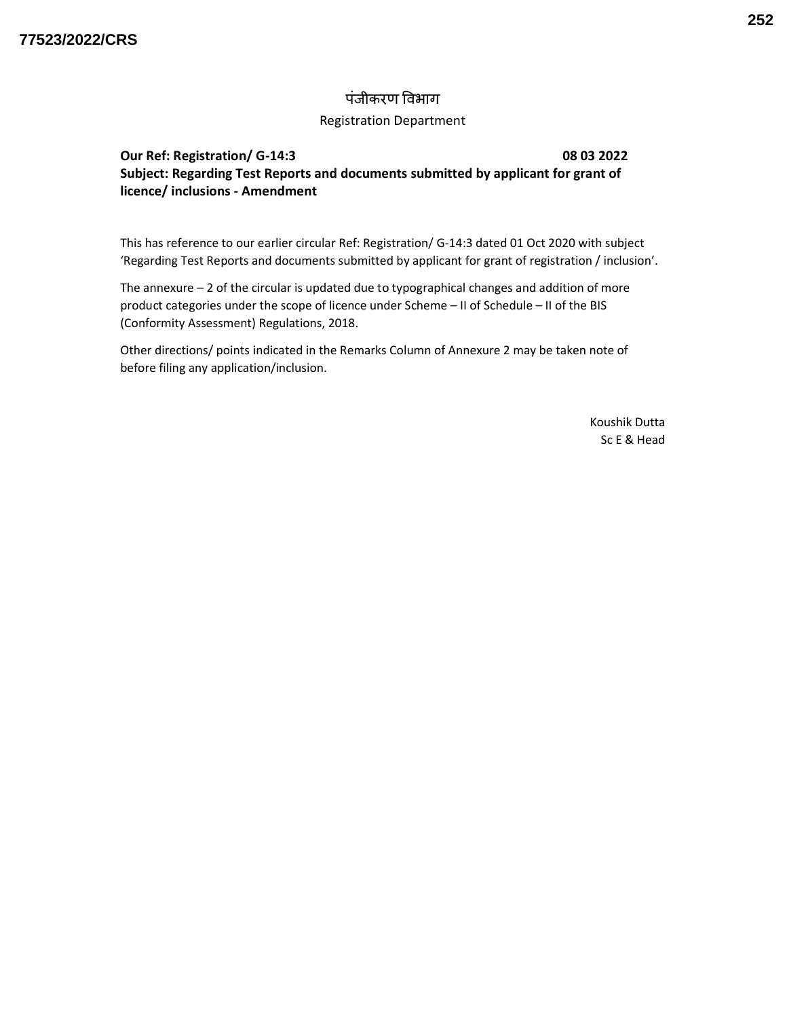## पंजीकरण विभाग

## Registration Department

## Our Ref: Registration/ G-14:3 08 03 2022 Subject: Regarding Test Reports and documents submitted by applicant for grant of licence/ inclusions - Amendment

This has reference to our earlier circular Ref: Registration/ G-14:3 dated 01 Oct 2020 with subject 'Regarding Test Reports and documents submitted by applicant for grant of registration / inclusion'.

The annexure  $-2$  of the circular is updated due to typographical changes and addition of more product categories under the scope of licence under Scheme – II of Schedule – II of the BIS (Conformity Assessment) Regulations, 2018.

Other directions/ points indicated in the Remarks Column of Annexure 2 may be taken note of before filing any application/inclusion.

> Koushik Dutta Sc E & Head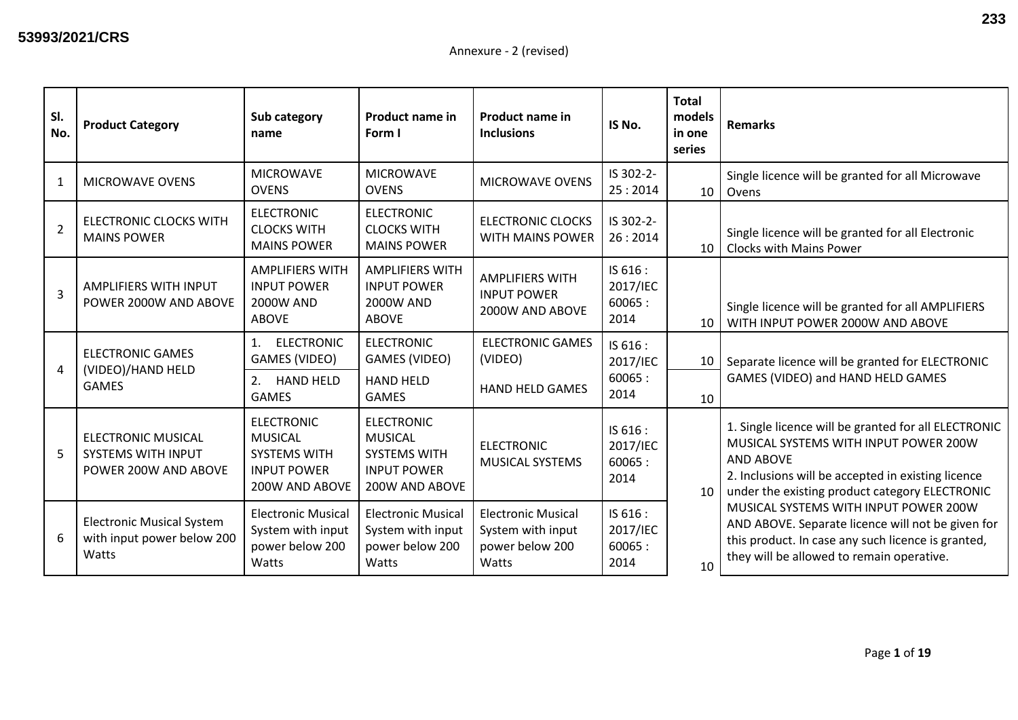| SI.<br>No.     | <b>Product Category</b>                                                        | Sub category<br>name                                                                               | <b>Product name in</b><br>Form I                                                                   | <b>Product name in</b><br><b>Inclusions</b>                                | IS No.                                 | <b>Total</b><br>models<br>in one<br>series | <b>Remarks</b>                                                                                                                                                                                                            |
|----------------|--------------------------------------------------------------------------------|----------------------------------------------------------------------------------------------------|----------------------------------------------------------------------------------------------------|----------------------------------------------------------------------------|----------------------------------------|--------------------------------------------|---------------------------------------------------------------------------------------------------------------------------------------------------------------------------------------------------------------------------|
| $\mathbf{1}$   | <b>MICROWAVE OVENS</b>                                                         | <b>MICROWAVE</b><br><b>OVENS</b>                                                                   | <b>MICROWAVE</b><br><b>OVENS</b>                                                                   | <b>MICROWAVE OVENS</b>                                                     | IS 302-2-<br>25:2014                   | 10                                         | Single licence will be granted for all Microwave<br>Ovens                                                                                                                                                                 |
| $\overline{2}$ | <b>ELECTRONIC CLOCKS WITH</b><br><b>MAINS POWER</b>                            | <b>ELECTRONIC</b><br><b>CLOCKS WITH</b><br><b>MAINS POWER</b>                                      | <b>ELECTRONIC</b><br><b>CLOCKS WITH</b><br><b>MAINS POWER</b>                                      | <b>ELECTRONIC CLOCKS</b><br>WITH MAINS POWER                               | IS 302-2-<br>26:2014                   | 10 <sup>1</sup>                            | Single licence will be granted for all Electronic<br><b>Clocks with Mains Power</b>                                                                                                                                       |
| $\overline{3}$ | AMPLIFIERS WITH INPUT<br>POWER 2000W AND ABOVE                                 | <b>AMPLIFIERS WITH</b><br><b>INPUT POWER</b><br><b>2000W AND</b><br><b>ABOVE</b>                   | <b>AMPLIFIERS WITH</b><br><b>INPUT POWER</b><br><b>2000W AND</b><br><b>ABOVE</b>                   | <b>AMPLIFIERS WITH</b><br><b>INPUT POWER</b><br>2000W AND ABOVE            | IS 616 :<br>2017/IEC<br>60065:<br>2014 | 10                                         | Single licence will be granted for all AMPLIFIERS<br>WITH INPUT POWER 2000W AND ABOVE                                                                                                                                     |
| 4              | <b>ELECTRONIC GAMES</b><br>(VIDEO)/HAND HELD<br><b>GAMES</b>                   | <b>ELECTRONIC</b><br>1.<br>GAMES (VIDEO)                                                           | <b>ELECTRONIC</b><br>GAMES (VIDEO)                                                                 | <b>ELECTRONIC GAMES</b><br>(VIDEO)                                         | IS 616 :<br>2017/IEC                   | 10                                         | Separate licence will be granted for ELECTRONIC                                                                                                                                                                           |
|                |                                                                                | 2.<br><b>HAND HELD</b><br><b>GAMES</b>                                                             | <b>HAND HELD</b><br><b>GAMES</b>                                                                   | <b>HAND HELD GAMES</b>                                                     | 60065:<br>2014                         | 10                                         | GAMES (VIDEO) and HAND HELD GAMES                                                                                                                                                                                         |
| 5              | <b>ELECTRONIC MUSICAL</b><br><b>SYSTEMS WITH INPUT</b><br>POWER 200W AND ABOVE | <b>ELECTRONIC</b><br><b>MUSICAL</b><br><b>SYSTEMS WITH</b><br><b>INPUT POWER</b><br>200W AND ABOVE | <b>ELECTRONIC</b><br><b>MUSICAL</b><br><b>SYSTEMS WITH</b><br><b>INPUT POWER</b><br>200W AND ABOVE | <b>ELECTRONIC</b><br><b>MUSICAL SYSTEMS</b>                                | IS 616:<br>2017/IEC<br>60065:<br>2014  | 10                                         | 1. Single licence will be granted for all ELECTRONIC<br>MUSICAL SYSTEMS WITH INPUT POWER 200W<br><b>AND ABOVE</b><br>2. Inclusions will be accepted in existing licence<br>under the existing product category ELECTRONIC |
| 6              | <b>Electronic Musical System</b><br>with input power below 200<br>Watts        | <b>Electronic Musical</b><br>System with input<br>power below 200<br>Watts                         | <b>Electronic Musical</b><br>System with input<br>power below 200<br>Watts                         | <b>Electronic Musical</b><br>System with input<br>power below 200<br>Watts | IS 616 :<br>2017/IEC<br>60065:<br>2014 | 10                                         | MUSICAL SYSTEMS WITH INPUT POWER 200W<br>AND ABOVE. Separate licence will not be given for<br>this product. In case any such licence is granted,<br>they will be allowed to remain operative.                             |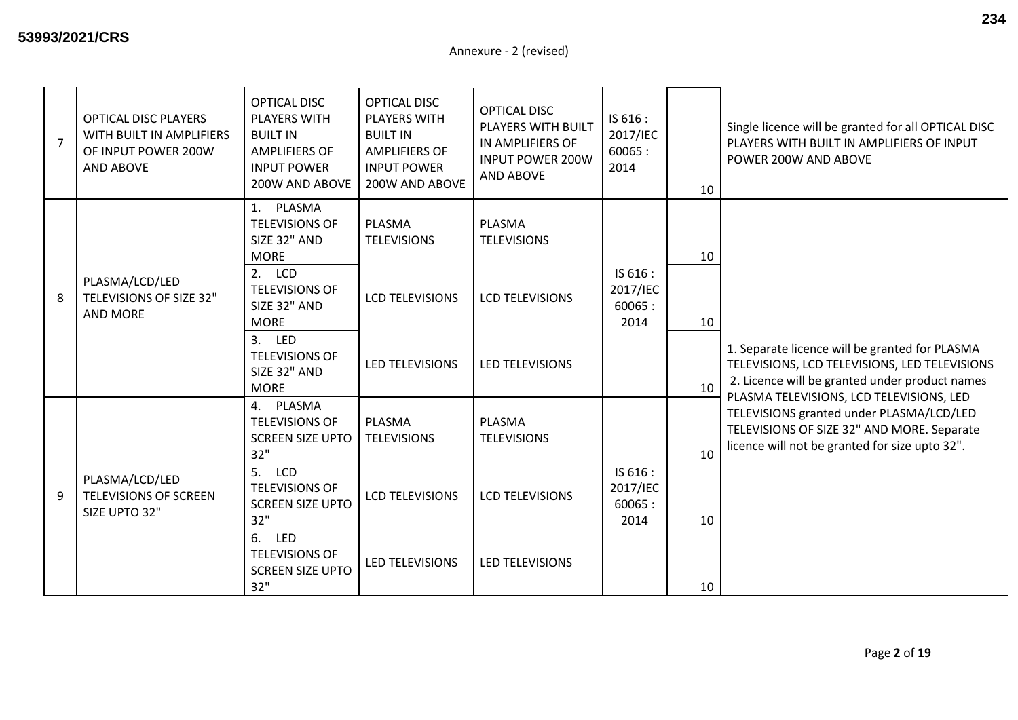| $\overline{7}$ | <b>OPTICAL DISC PLAYERS</b><br>WITH BUILT IN AMPLIFIERS<br>OF INPUT POWER 200W<br>AND ABOVE | <b>OPTICAL DISC</b><br><b>PLAYERS WITH</b><br><b>BUILT IN</b><br><b>AMPLIFIERS OF</b><br><b>INPUT POWER</b><br>200W AND ABOVE                                                                                  | <b>OPTICAL DISC</b><br><b>PLAYERS WITH</b><br><b>BUILT IN</b><br><b>AMPLIFIERS OF</b><br><b>INPUT POWER</b><br>200W AND ABOVE | <b>OPTICAL DISC</b><br>PLAYERS WITH BUILT<br>IN AMPLIFIERS OF<br><b>INPUT POWER 200W</b><br><b>AND ABOVE</b> | IS 616 :<br>2017/IEC<br>60065:<br>2014 | 10             | Single licence will be granted for all OPTICAL DISC<br>PLAYERS WITH BUILT IN AMPLIFIERS OF INPUT<br>POWER 200W AND ABOVE                                                             |
|----------------|---------------------------------------------------------------------------------------------|----------------------------------------------------------------------------------------------------------------------------------------------------------------------------------------------------------------|-------------------------------------------------------------------------------------------------------------------------------|--------------------------------------------------------------------------------------------------------------|----------------------------------------|----------------|--------------------------------------------------------------------------------------------------------------------------------------------------------------------------------------|
| 8              | PLASMA/LCD/LED<br>TELEVISIONS OF SIZE 32"<br><b>AND MORE</b>                                | 1. PLASMA<br><b>TELEVISIONS OF</b><br>SIZE 32" AND<br><b>MORE</b><br>2. LCD<br><b>TELEVISIONS OF</b><br>SIZE 32" AND<br><b>MORE</b><br>3. LED<br><b>TELEVISIONS OF</b><br>SIZE 32" AND<br><b>MORE</b>          | PLASMA<br><b>TELEVISIONS</b><br><b>LCD TELEVISIONS</b><br>LED TELEVISIONS                                                     | <b>PLASMA</b><br><b>TELEVISIONS</b><br><b>LCD TELEVISIONS</b><br>LED TELEVISIONS                             | IS 616 :<br>2017/IEC<br>60065:<br>2014 | 10<br>10<br>10 | 1. Separate licence will be granted for PLASMA<br>TELEVISIONS, LCD TELEVISIONS, LED TELEVISIONS<br>2. Licence will be granted under product names                                    |
| 9              | PLASMA/LCD/LED<br><b>TELEVISIONS OF SCREEN</b><br>SIZE UPTO 32"                             | 4. PLASMA<br><b>TELEVISIONS OF</b><br><b>SCREEN SIZE UPTO</b><br>32"<br>5. LCD<br><b>TELEVISIONS OF</b><br><b>SCREEN SIZE UPTO</b><br>32"<br>6. LED<br><b>TELEVISIONS OF</b><br><b>SCREEN SIZE UPTO</b><br>32" | PLASMA<br><b>TELEVISIONS</b><br><b>LCD TELEVISIONS</b><br>LED TELEVISIONS                                                     | <b>PLASMA</b><br><b>TELEVISIONS</b><br><b>LCD TELEVISIONS</b><br>LED TELEVISIONS                             | IS 616 :<br>2017/IEC<br>60065:<br>2014 | 10<br>10<br>10 | PLASMA TELEVISIONS, LCD TELEVISIONS, LED<br>TELEVISIONS granted under PLASMA/LCD/LED<br>TELEVISIONS OF SIZE 32" AND MORE. Separate<br>licence will not be granted for size upto 32". |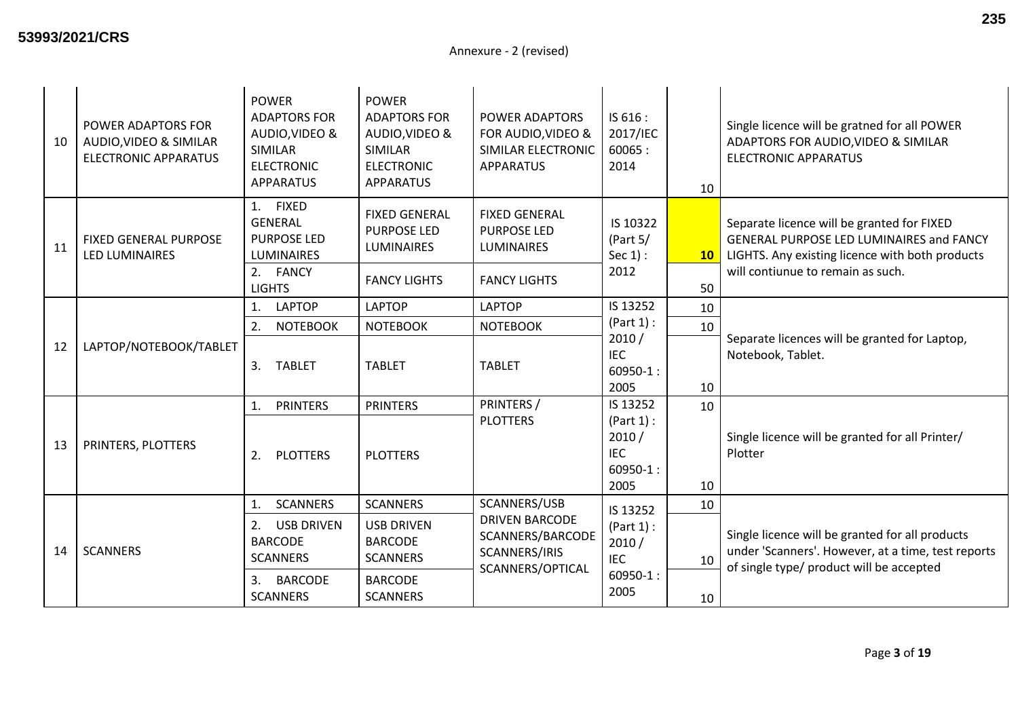| 10 | POWER ADAPTORS FOR<br>AUDIO, VIDEO & SIMILAR<br><b>ELECTRONIC APPARATUS</b> | <b>POWER</b><br><b>ADAPTORS FOR</b><br>AUDIO, VIDEO &<br>SIMILAR<br><b>ELECTRONIC</b><br>APPARATUS | <b>POWER</b><br><b>ADAPTORS FOR</b><br>AUDIO, VIDEO &<br><b>SIMILAR</b><br><b>ELECTRONIC</b><br><b>APPARATUS</b> | POWER ADAPTORS<br>FOR AUDIO, VIDEO &<br>SIMILAR ELECTRONIC<br><b>APPARATUS</b>         | IS 616:<br>2017/IEC<br>60065:<br>2014                    | 10                    | Single licence will be gratned for all POWER<br>ADAPTORS FOR AUDIO, VIDEO & SIMILAR<br><b>ELECTRONIC APPARATUS</b>                                                             |
|----|-----------------------------------------------------------------------------|----------------------------------------------------------------------------------------------------|------------------------------------------------------------------------------------------------------------------|----------------------------------------------------------------------------------------|----------------------------------------------------------|-----------------------|--------------------------------------------------------------------------------------------------------------------------------------------------------------------------------|
| 11 | FIXED GENERAL PURPOSE<br><b>LED LUMINAIRES</b>                              | 1. FIXED<br><b>GENERAL</b><br><b>PURPOSE LED</b><br><b>LUMINAIRES</b><br>2. FANCY<br><b>LIGHTS</b> | <b>FIXED GENERAL</b><br><b>PURPOSE LED</b><br><b>LUMINAIRES</b><br><b>FANCY LIGHTS</b>                           | <b>FIXED GENERAL</b><br><b>PURPOSE LED</b><br><b>LUMINAIRES</b><br><b>FANCY LIGHTS</b> | IS 10322<br>(Part $5/$<br>Sec $1$ :<br>2012              | 10 <sub>1</sub><br>50 | Separate licence will be granted for FIXED<br>GENERAL PURPOSE LED LUMINAIRES and FANCY<br>LIGHTS. Any existing licence with both products<br>will contiunue to remain as such. |
|    |                                                                             | <b>LAPTOP</b><br>1.                                                                                | <b>LAPTOP</b>                                                                                                    | <b>LAPTOP</b>                                                                          | IS 13252                                                 | 10                    |                                                                                                                                                                                |
|    | LAPTOP/NOTEBOOK/TABLET                                                      | 2.<br><b>NOTEBOOK</b>                                                                              | <b>NOTEBOOK</b>                                                                                                  | <b>NOTEBOOK</b>                                                                        | (Part 1):                                                | 10                    |                                                                                                                                                                                |
| 12 |                                                                             | 3.<br><b>TABLET</b>                                                                                | <b>TABLET</b>                                                                                                    | <b>TABLET</b>                                                                          | 2010/<br><b>IEC</b><br>$60950 - 1:$<br>2005              | 10                    | Separate licences will be granted for Laptop,<br>Notebook, Tablet.                                                                                                             |
|    |                                                                             | <b>PRINTERS</b><br>1.                                                                              | <b>PRINTERS</b>                                                                                                  | PRINTERS /                                                                             | IS 13252                                                 | 10                    |                                                                                                                                                                                |
| 13 | PRINTERS, PLOTTERS                                                          | 2.<br><b>PLOTTERS</b>                                                                              | <b>PLOTTERS</b>                                                                                                  | <b>PLOTTERS</b>                                                                        | (Part 1):<br>2010/<br><b>IEC</b><br>$60950 - 1:$<br>2005 | 10                    | Single licence will be granted for all Printer/<br>Plotter                                                                                                                     |
|    |                                                                             | <b>SCANNERS</b><br>1.                                                                              | <b>SCANNERS</b>                                                                                                  | SCANNERS/USB                                                                           | IS 13252                                                 | 10                    |                                                                                                                                                                                |
| 14 | <b>SCANNERS</b>                                                             | <b>USB DRIVEN</b><br>2.<br><b>BARCODE</b><br><b>SCANNERS</b>                                       | <b>USB DRIVEN</b><br><b>BARCODE</b><br><b>SCANNERS</b>                                                           | <b>DRIVEN BARCODE</b><br>SCANNERS/BARCODE<br>SCANNERS/IRIS<br>SCANNERS/OPTICAL         | (Part 1):<br>2010/<br><b>IEC</b>                         | 10                    | Single licence will be granted for all products<br>under 'Scanners'. However, at a time, test reports<br>of single type/ product will be accepted                              |
|    |                                                                             | 3.<br><b>BARCODE</b><br><b>SCANNERS</b>                                                            | <b>BARCODE</b><br><b>SCANNERS</b>                                                                                |                                                                                        | $60950 - 1$ :<br>2005                                    | 10                    |                                                                                                                                                                                |

Page **3** of **19**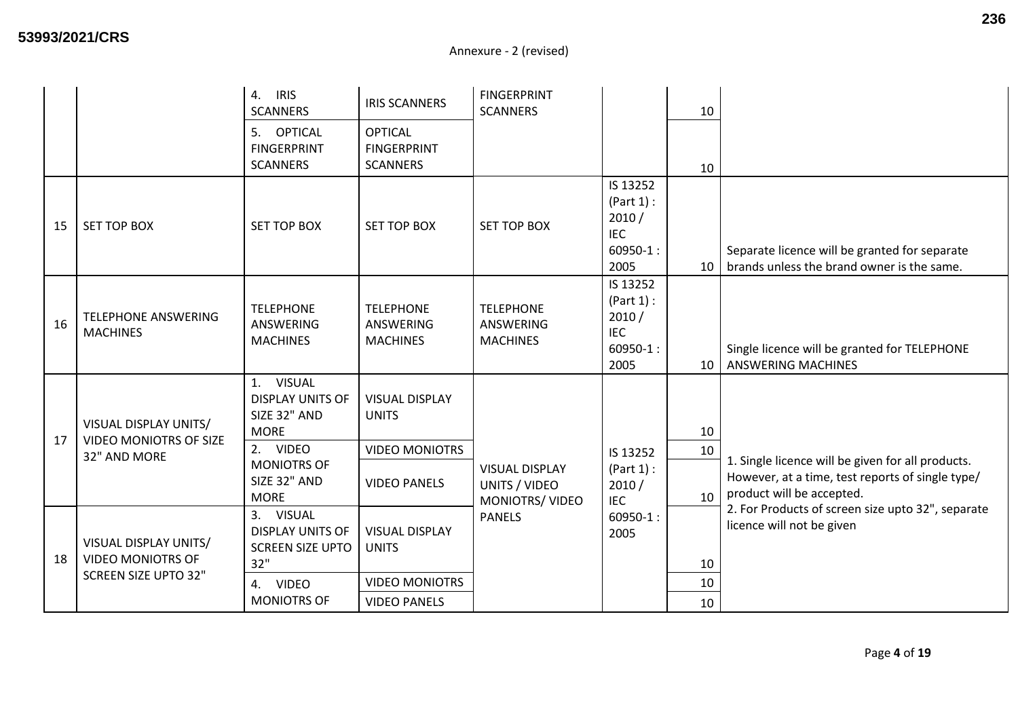|    |                                                                                  | <b>IRIS</b><br>4.<br><b>SCANNERS</b>                                                                                                 | <b>IRIS SCANNERS</b>                                                                  | <b>FINGERPRINT</b><br><b>SCANNERS</b>                    |                                                                       | 10              |                                                                                                                                    |
|----|----------------------------------------------------------------------------------|--------------------------------------------------------------------------------------------------------------------------------------|---------------------------------------------------------------------------------------|----------------------------------------------------------|-----------------------------------------------------------------------|-----------------|------------------------------------------------------------------------------------------------------------------------------------|
|    |                                                                                  | 5. OPTICAL<br><b>FINGERPRINT</b><br><b>SCANNERS</b>                                                                                  | <b>OPTICAL</b><br><b>FINGERPRINT</b><br><b>SCANNERS</b>                               |                                                          |                                                                       | 10              |                                                                                                                                    |
| 15 | SET TOP BOX                                                                      | <b>SET TOP BOX</b>                                                                                                                   | <b>SET TOP BOX</b>                                                                    | <b>SET TOP BOX</b>                                       | IS 13252<br>(Part 1):<br>2010/<br><b>IEC</b><br>$60950 - 1$ :<br>2005 | 10 <sup>1</sup> | Separate licence will be granted for separate<br>brands unless the brand owner is the same.                                        |
| 16 | <b>TELEPHONE ANSWERING</b><br><b>MACHINES</b>                                    | <b>TELEPHONE</b><br><b>ANSWERING</b><br><b>MACHINES</b>                                                                              | <b>TELEPHONE</b><br>ANSWERING<br><b>MACHINES</b>                                      | <b>TELEPHONE</b><br><b>ANSWERING</b><br><b>MACHINES</b>  | IS 13252<br>(Part 1):<br>2010/<br>IEC<br>$60950 - 1$ :<br>2005        | 10              | Single licence will be granted for TELEPHONE<br><b>ANSWERING MACHINES</b>                                                          |
| 17 | VISUAL DISPLAY UNITS/<br><b>VIDEO MONIOTRS OF SIZE</b><br>32" AND MORE           | 1. VISUAL<br><b>DISPLAY UNITS OF</b><br>SIZE 32" AND<br><b>MORE</b><br>2. VIDEO<br><b>MONIOTRS OF</b><br>SIZE 32" AND<br><b>MORE</b> | <b>VISUAL DISPLAY</b><br><b>UNITS</b><br><b>VIDEO MONIOTRS</b><br><b>VIDEO PANELS</b> | <b>VISUAL DISPLAY</b><br>UNITS / VIDEO<br>MONIOTRS/VIDEO | IS 13252<br>(Part 1):<br>2010/<br><b>IEC</b>                          | 10<br>10<br>10  | 1. Single licence will be given for all products.<br>However, at a time, test reports of single type/<br>product will be accepted. |
| 18 | VISUAL DISPLAY UNITS/<br><b>VIDEO MONIOTRS OF</b><br><b>SCREEN SIZE UPTO 32"</b> | 3. VISUAL<br><b>DISPLAY UNITS OF</b><br><b>SCREEN SIZE UPTO</b><br>32"<br>4. VIDEO<br><b>MONIOTRS OF</b>                             | <b>VISUAL DISPLAY</b><br><b>UNITS</b><br><b>VIDEO MONIOTRS</b><br><b>VIDEO PANELS</b> | <b>PANELS</b>                                            | $60950 - 1$ :<br>2005                                                 | 10<br>10<br>10  | 2. For Products of screen size upto 32", separate<br>licence will not be given                                                     |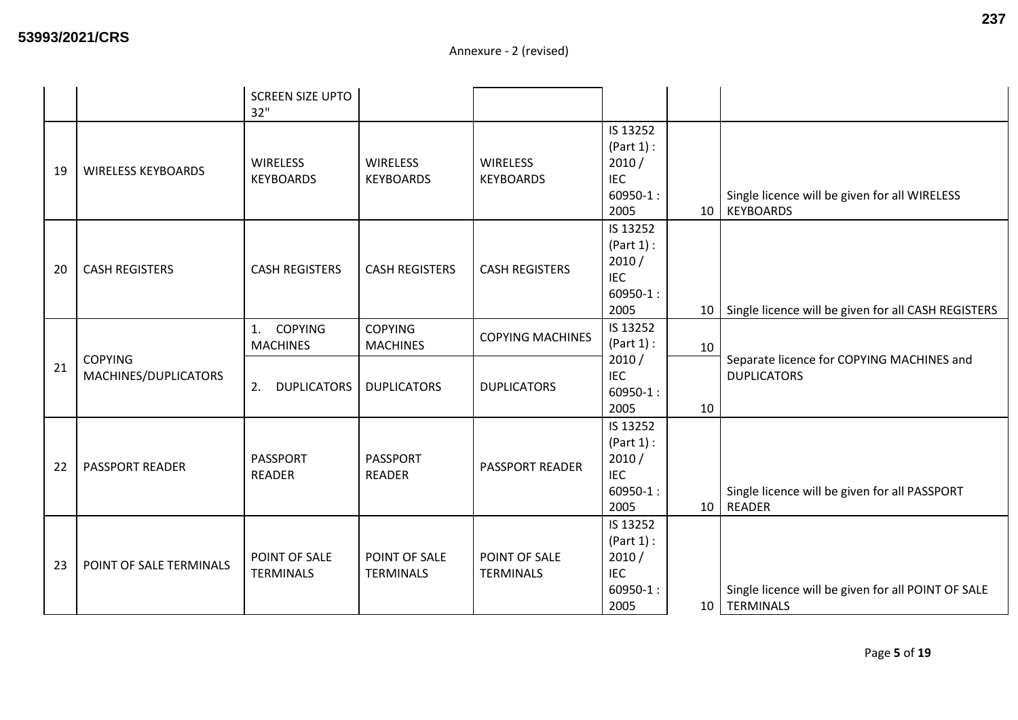|    |                                        | <b>SCREEN SIZE UPTO</b><br>32"          |                                     |                                     |                                                                      |                 |                                                                    |
|----|----------------------------------------|-----------------------------------------|-------------------------------------|-------------------------------------|----------------------------------------------------------------------|-----------------|--------------------------------------------------------------------|
| 19 | <b>WIRELESS KEYBOARDS</b>              | <b>WIRELESS</b><br><b>KEYBOARDS</b>     | <b>WIRELESS</b><br><b>KEYBOARDS</b> | <b>WIRELESS</b><br><b>KEYBOARDS</b> | IS 13252<br>(Part 1):<br>2010/<br><b>IEC</b><br>$60950 - 1:$<br>2005 | 10              | Single licence will be given for all WIRELESS<br><b>KEYBOARDS</b>  |
| 20 | <b>CASH REGISTERS</b>                  | <b>CASH REGISTERS</b>                   | <b>CASH REGISTERS</b>               | <b>CASH REGISTERS</b>               | IS 13252<br>(Part 1):<br>2010/<br><b>IEC</b><br>$60950 - 1:$<br>2005 | 10 <sup>1</sup> | Single licence will be given for all CASH REGISTERS                |
|    |                                        | <b>COPYING</b><br>1.<br><b>MACHINES</b> | <b>COPYING</b><br><b>MACHINES</b>   | <b>COPYING MACHINES</b>             | IS 13252<br>(Part 1):                                                | 10              |                                                                    |
| 21 | <b>COPYING</b><br>MACHINES/DUPLICATORS | 2.<br><b>DUPLICATORS</b>                | <b>DUPLICATORS</b>                  | <b>DUPLICATORS</b>                  | 2010/<br><b>IEC</b><br>$60950 - 1$ :<br>2005                         | 10              | Separate licence for COPYING MACHINES and<br><b>DUPLICATORS</b>    |
| 22 | <b>PASSPORT READER</b>                 | PASSPORT<br><b>READER</b>               | PASSPORT<br><b>READER</b>           | <b>PASSPORT READER</b>              | IS 13252<br>(Part 1):<br>2010/<br><b>IEC</b><br>$60950 - 1:$<br>2005 | 10 <sup>1</sup> | Single licence will be given for all PASSPORT<br><b>READER</b>     |
| 23 | POINT OF SALE TERMINALS                | POINT OF SALE<br><b>TERMINALS</b>       | POINT OF SALE<br><b>TERMINALS</b>   | POINT OF SALE<br><b>TERMINALS</b>   | IS 13252<br>(Part 1):<br>2010/<br><b>IEC</b><br>$60950 - 1:$<br>2005 |                 | Single licence will be given for all POINT OF SALE<br>10 TERMINALS |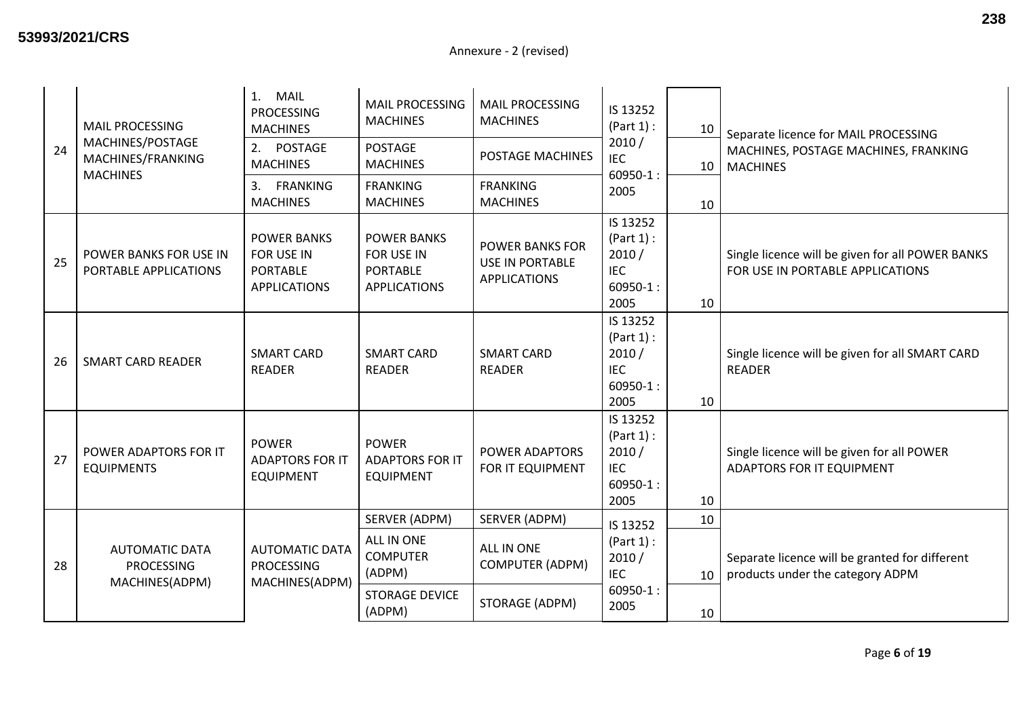| 24 | <b>MAIL PROCESSING</b><br>MACHINES/POSTAGE<br>MACHINES/FRANKING<br><b>MACHINES</b> | <b>MAIL</b><br>1.<br><b>PROCESSING</b><br><b>MACHINES</b><br>2. POSTAGE    | MAIL PROCESSING<br><b>MACHINES</b><br><b>POSTAGE</b>                       | <b>MAIL PROCESSING</b><br><b>MACHINES</b><br>POSTAGE MACHINES           | IS 13252<br>(Part 1):<br>10<br>2010/<br><b>IEC</b>                    | Separate licence for MAIL PROCESSING<br>MACHINES, POSTAGE MACHINES, FRANKING |                                                                                      |
|----|------------------------------------------------------------------------------------|----------------------------------------------------------------------------|----------------------------------------------------------------------------|-------------------------------------------------------------------------|-----------------------------------------------------------------------|------------------------------------------------------------------------------|--------------------------------------------------------------------------------------|
|    |                                                                                    | <b>MACHINES</b><br>3. FRANKING<br><b>MACHINES</b>                          | <b>MACHINES</b><br><b>FRANKING</b><br><b>MACHINES</b>                      | <b>FRANKING</b><br><b>MACHINES</b>                                      | $60950 - 1$ :<br>2005                                                 | 10<br>10                                                                     | <b>MACHINES</b>                                                                      |
| 25 | POWER BANKS FOR USE IN<br>PORTABLE APPLICATIONS                                    | <b>POWER BANKS</b><br>FOR USE IN<br><b>PORTABLE</b><br><b>APPLICATIONS</b> | <b>POWER BANKS</b><br>FOR USE IN<br><b>PORTABLE</b><br><b>APPLICATIONS</b> | <b>POWER BANKS FOR</b><br><b>USE IN PORTABLE</b><br><b>APPLICATIONS</b> | IS 13252<br>(Part 1):<br>2010/<br><b>IEC</b><br>$60950 - 1$ :<br>2005 | 10                                                                           | Single licence will be given for all POWER BANKS<br>FOR USE IN PORTABLE APPLICATIONS |
| 26 | <b>SMART CARD READER</b>                                                           | <b>SMART CARD</b><br><b>READER</b>                                         | <b>SMART CARD</b><br><b>READER</b>                                         | <b>SMART CARD</b><br><b>READER</b>                                      | IS 13252<br>(Part 1):<br>2010/<br><b>IEC</b><br>$60950 - 1$ :<br>2005 | 10                                                                           | Single licence will be given for all SMART CARD<br><b>READER</b>                     |
| 27 | POWER ADAPTORS FOR IT<br><b>EQUIPMENTS</b>                                         | <b>POWER</b><br><b>ADAPTORS FOR IT</b><br><b>EQUIPMENT</b>                 | <b>POWER</b><br><b>ADAPTORS FOR IT</b><br><b>EQUIPMENT</b>                 | POWER ADAPTORS<br>FOR IT EQUIPMENT                                      | IS 13252<br>(Part 1):<br>2010/<br><b>IEC</b><br>$60950 - 1$ :<br>2005 | 10                                                                           | Single licence will be given for all POWER<br>ADAPTORS FOR IT EQUIPMENT              |
|    |                                                                                    |                                                                            | SERVER (ADPM)                                                              | SERVER (ADPM)                                                           | IS 13252                                                              | 10                                                                           |                                                                                      |
| 28 | <b>AUTOMATIC DATA</b><br><b>PROCESSING</b><br>MACHINES(ADPM)                       | <b>AUTOMATIC DATA</b><br><b>PROCESSING</b><br>MACHINES(ADPM)               | ALL IN ONE<br><b>COMPUTER</b><br>(ADPM)                                    | ALL IN ONE<br><b>COMPUTER (ADPM)</b>                                    | (Part 1):<br>2010/<br><b>IEC</b>                                      | 10                                                                           | Separate licence will be granted for different<br>products under the category ADPM   |
|    |                                                                                    |                                                                            | <b>STORAGE DEVICE</b><br>(ADPM)                                            | STORAGE (ADPM)                                                          | $60950 - 1:$<br>2005                                                  | 10                                                                           |                                                                                      |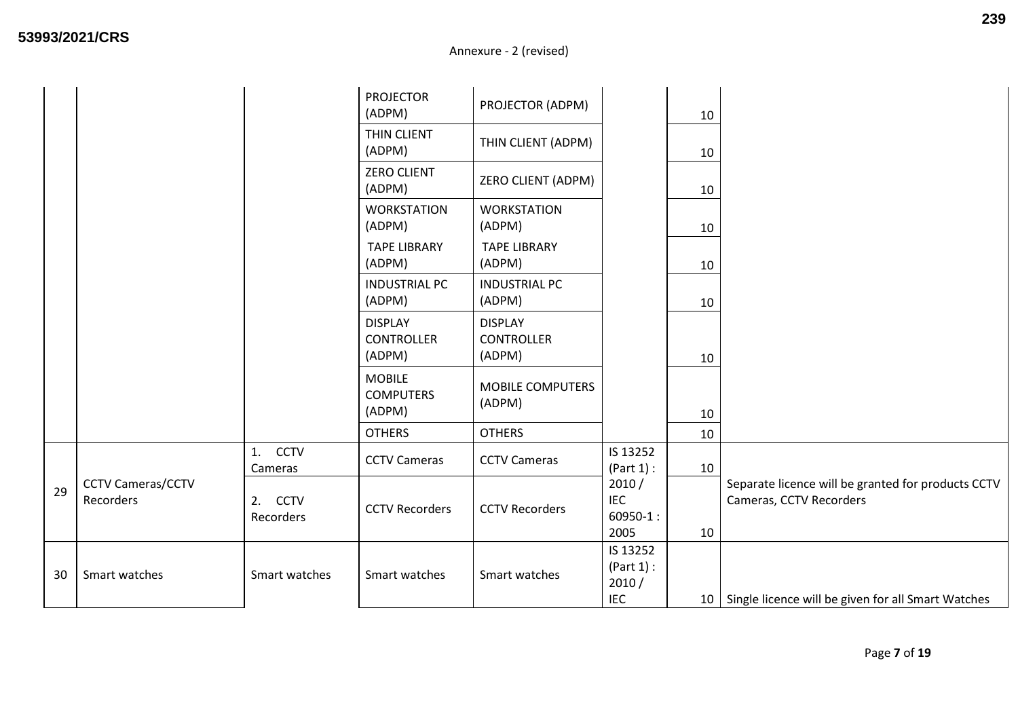|    |                                       |                      | <b>PROJECTOR</b><br>(ADPM)                    | PROJECTOR (ADPM)                              |                                              | 10 |                                                                               |
|----|---------------------------------------|----------------------|-----------------------------------------------|-----------------------------------------------|----------------------------------------------|----|-------------------------------------------------------------------------------|
|    |                                       |                      | THIN CLIENT<br>(ADPM)                         | THIN CLIENT (ADPM)                            |                                              | 10 |                                                                               |
|    |                                       |                      | <b>ZERO CLIENT</b><br>(ADPM)                  | ZERO CLIENT (ADPM)                            |                                              | 10 |                                                                               |
|    |                                       |                      | <b>WORKSTATION</b><br>(ADPM)                  | <b>WORKSTATION</b><br>(ADPM)                  |                                              | 10 |                                                                               |
|    |                                       |                      | <b>TAPE LIBRARY</b><br>(ADPM)                 | <b>TAPE LIBRARY</b><br>(ADPM)                 |                                              | 10 |                                                                               |
|    |                                       |                      | <b>INDUSTRIAL PC</b><br>(ADPM)                | <b>INDUSTRIAL PC</b><br>(ADPM)                |                                              | 10 |                                                                               |
|    |                                       |                      | <b>DISPLAY</b><br><b>CONTROLLER</b><br>(ADPM) | <b>DISPLAY</b><br><b>CONTROLLER</b><br>(ADPM) |                                              | 10 |                                                                               |
|    |                                       |                      | <b>MOBILE</b><br><b>COMPUTERS</b><br>(ADPM)   | <b>MOBILE COMPUTERS</b><br>(ADPM)             |                                              | 10 |                                                                               |
|    |                                       |                      | <b>OTHERS</b>                                 | <b>OTHERS</b>                                 |                                              | 10 |                                                                               |
|    |                                       | 1. CCTV<br>Cameras   | <b>CCTV Cameras</b>                           | <b>CCTV Cameras</b>                           | IS 13252<br>(Part 1):                        | 10 |                                                                               |
| 29 | <b>CCTV Cameras/CCTV</b><br>Recorders | 2. CCTV<br>Recorders | <b>CCTV Recorders</b>                         | <b>CCTV Recorders</b>                         | 2010/<br><b>IEC</b><br>$60950-1:$<br>2005    | 10 | Separate licence will be granted for products CCTV<br>Cameras, CCTV Recorders |
| 30 | Smart watches                         | Smart watches        | Smart watches                                 | Smart watches                                 | IS 13252<br>(Part 1):<br>2010/<br><b>IEC</b> |    | 10   Single licence will be given for all Smart Watches                       |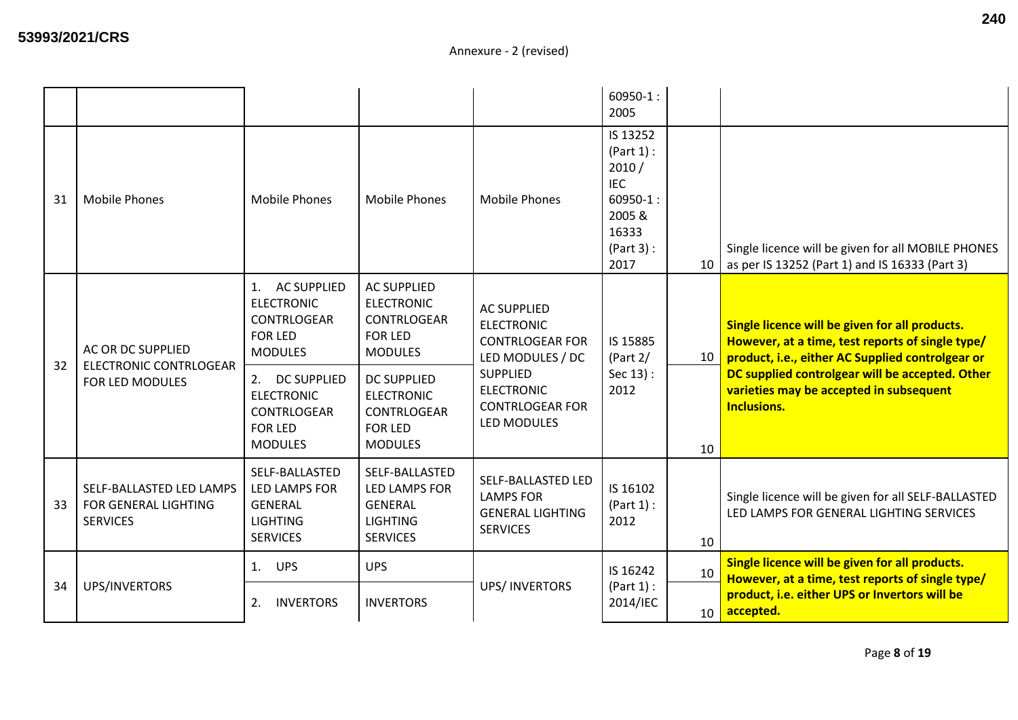|    |                                                                     |                                                                                                  |                                                                                                |                                                                                       | $60950-1:$<br>2005                                                                                  |    |                                                                                                                                                        |
|----|---------------------------------------------------------------------|--------------------------------------------------------------------------------------------------|------------------------------------------------------------------------------------------------|---------------------------------------------------------------------------------------|-----------------------------------------------------------------------------------------------------|----|--------------------------------------------------------------------------------------------------------------------------------------------------------|
| 31 | <b>Mobile Phones</b>                                                | <b>Mobile Phones</b>                                                                             | <b>Mobile Phones</b>                                                                           | <b>Mobile Phones</b>                                                                  | IS 13252<br>(Part 1):<br>2010/<br><b>IEC</b><br>$60950 - 1:$<br>2005&<br>16333<br>(Part 3):<br>2017 | 10 | Single licence will be given for all MOBILE PHONES<br>as per IS 13252 (Part 1) and IS 16333 (Part 3)                                                   |
|    | AC OR DC SUPPLIED                                                   | <b>AC SUPPLIED</b><br>1.<br><b>ELECTRONIC</b><br>CONTRLOGEAR<br><b>FOR LED</b><br><b>MODULES</b> | <b>AC SUPPLIED</b><br><b>ELECTRONIC</b><br>CONTRLOGEAR<br><b>FOR LED</b><br><b>MODULES</b>     | <b>AC SUPPLIED</b><br><b>ELECTRONIC</b><br><b>CONTRLOGEAR FOR</b><br>LED MODULES / DC | IS 15885<br>(Part $2/$                                                                              | 10 | Single licence will be given for all products.<br>However, at a time, test reports of single type/<br>product, i.e., either AC Supplied controlgear or |
| 32 | <b>ELECTRONIC CONTRLOGEAR</b><br>FOR LED MODULES                    | 2. DC SUPPLIED<br><b>ELECTRONIC</b><br>CONTRLOGEAR<br><b>FOR LED</b><br><b>MODULES</b>           | <b>DC SUPPLIED</b><br><b>ELECTRONIC</b><br>CONTRLOGEAR<br><b>FOR LED</b><br><b>MODULES</b>     | <b>SUPPLIED</b><br><b>ELECTRONIC</b><br><b>CONTRLOGEAR FOR</b><br>LED MODULES         | Sec 13):<br>2012                                                                                    | 10 | DC supplied controlgear will be accepted. Other<br>varieties may be accepted in subsequent<br><b>Inclusions.</b>                                       |
| 33 | SELF-BALLASTED LED LAMPS<br>FOR GENERAL LIGHTING<br><b>SERVICES</b> | SELF-BALLASTED<br>LED LAMPS FOR<br><b>GENERAL</b><br><b>LIGHTING</b><br><b>SERVICES</b>          | SELF-BALLASTED<br><b>LED LAMPS FOR</b><br><b>GENERAL</b><br><b>LIGHTING</b><br><b>SERVICES</b> | SELF-BALLASTED LED<br><b>LAMPS FOR</b><br><b>GENERAL LIGHTING</b><br><b>SERVICES</b>  | IS 16102<br>(Part 1):<br>2012                                                                       | 10 | Single licence will be given for all SELF-BALLASTED<br>LED LAMPS FOR GENERAL LIGHTING SERVICES                                                         |
|    | UPS/INVERTORS                                                       | 1.<br><b>UPS</b>                                                                                 | <b>UPS</b>                                                                                     | <b>UPS/INVERTORS</b>                                                                  | IS 16242<br>(Part 1):                                                                               | 10 | Single licence will be given for all products.<br>However, at a time, test reports of single type/                                                     |
| 34 |                                                                     | <b>INVERTORS</b><br>2.                                                                           | <b>INVERTORS</b>                                                                               |                                                                                       | 2014/IEC                                                                                            | 10 | product, i.e. either UPS or Invertors will be<br>accepted.                                                                                             |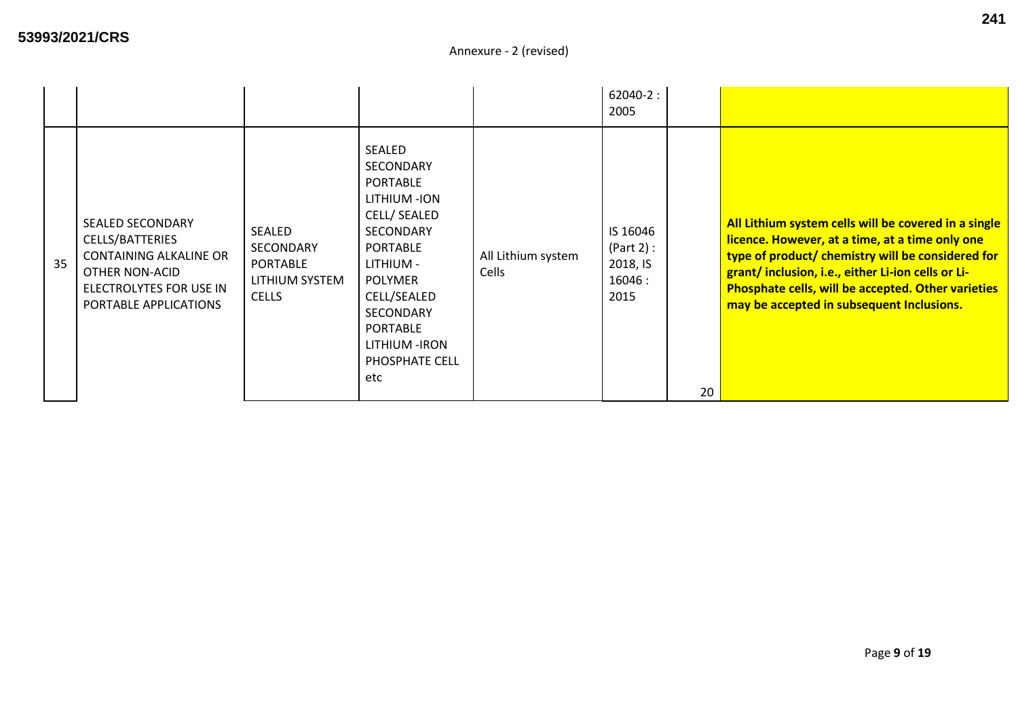|    |                                                                                                                                                   |                                                                          |                                                                                                                                                                                                                                                     |                             | $62040-2:$<br>2005                                  |    |                                                                                                                                                                                                                                                                                                                      |
|----|---------------------------------------------------------------------------------------------------------------------------------------------------|--------------------------------------------------------------------------|-----------------------------------------------------------------------------------------------------------------------------------------------------------------------------------------------------------------------------------------------------|-----------------------------|-----------------------------------------------------|----|----------------------------------------------------------------------------------------------------------------------------------------------------------------------------------------------------------------------------------------------------------------------------------------------------------------------|
| 35 | <b>SEALED SECONDARY</b><br>CELLS/BATTERIES<br><b>CONTAINING ALKALINE OR</b><br>OTHER NON-ACID<br>ELECTROLYTES FOR USE IN<br>PORTABLE APPLICATIONS | SEALED<br>SECONDARY<br><b>PORTABLE</b><br>LITHIUM SYSTEM<br><b>CELLS</b> | <b>SEALED</b><br>SECONDARY<br><b>PORTABLE</b><br>LITHIUM-ION<br>CELL/ SEALED<br><b>SECONDARY</b><br><b>PORTABLE</b><br>LITHIUM -<br><b>POLYMER</b><br>CELL/SEALED<br><b>SECONDARY</b><br><b>PORTABLE</b><br>LITHIUM - IRON<br>PHOSPHATE CELL<br>etc | All Lithium system<br>Cells | IS 16046<br>(Part 2):<br>2018, IS<br>16046:<br>2015 | 20 | All Lithium system cells will be covered in a single<br>licence. However, at a time, at a time only one<br>type of product/ chemistry will be considered for<br>grant/inclusion, i.e., either Li-ion cells or Li-<br>Phosphate cells, will be accepted. Other varieties<br>may be accepted in subsequent Inclusions. |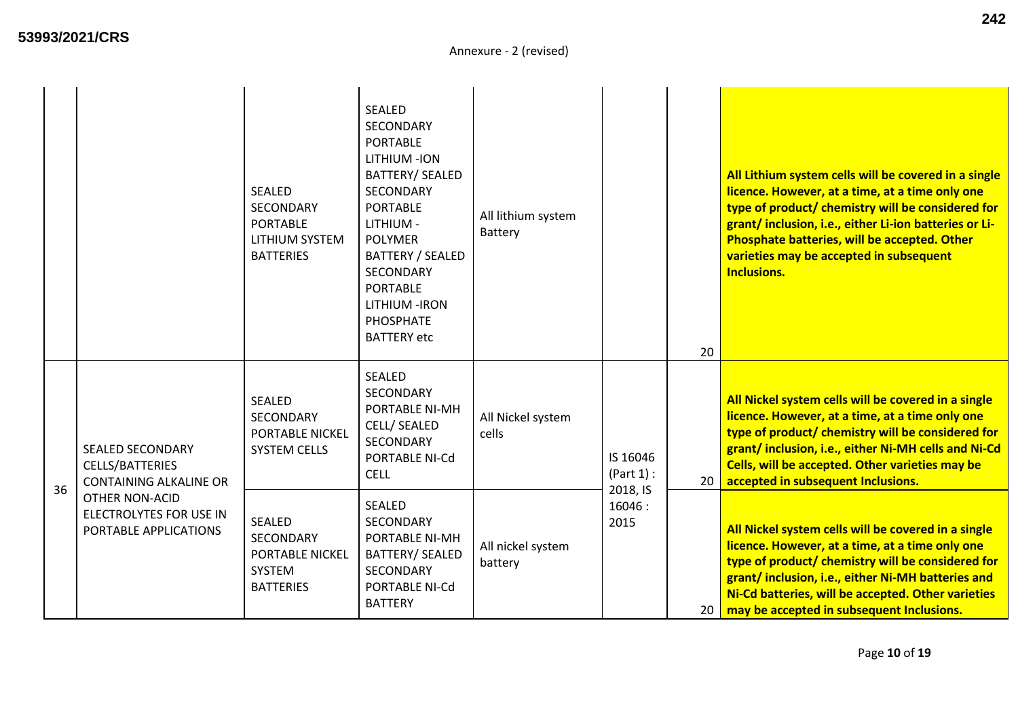|    |                                                                                    | <b>SEALED</b><br>SECONDARY<br><b>PORTABLE</b><br>LITHIUM SYSTEM<br><b>BATTERIES</b>       | <b>SEALED</b><br><b>SECONDARY</b><br><b>PORTABLE</b><br>LITHIUM - ION<br>BATTERY/ SEALED<br><b>SECONDARY</b><br><b>PORTABLE</b><br>LITHIUM -<br><b>POLYMER</b><br><b>BATTERY / SEALED</b><br>SECONDARY<br><b>PORTABLE</b><br>LITHIUM-IRON<br><b>PHOSPHATE</b><br><b>BATTERY</b> etc | All lithium system<br>Battery |                            |          | All Lithium system cells will be covered in a single<br>licence. However, at a time, at a time only one<br>type of product/ chemistry will be considered for<br>grant/inclusion, i.e., either Li-ion batteries or Li-<br>Phosphate batteries, will be accepted. Other<br>varieties may be accepted in subsequent<br><b>Inclusions.</b> |
|----|------------------------------------------------------------------------------------|-------------------------------------------------------------------------------------------|-------------------------------------------------------------------------------------------------------------------------------------------------------------------------------------------------------------------------------------------------------------------------------------|-------------------------------|----------------------------|----------|----------------------------------------------------------------------------------------------------------------------------------------------------------------------------------------------------------------------------------------------------------------------------------------------------------------------------------------|
|    | <b>SEALED SECONDARY</b><br><b>CELLS/BATTERIES</b><br><b>CONTAINING ALKALINE OR</b> | <b>SEALED</b><br><b>SECONDARY</b><br><b>PORTABLE NICKEL</b><br><b>SYSTEM CELLS</b>        | <b>SEALED</b><br>SECONDARY<br>PORTABLE NI-MH<br>CELL/ SEALED<br>SECONDARY<br>PORTABLE NI-Cd<br><b>CELL</b>                                                                                                                                                                          | All Nickel system<br>cells    | IS 16046<br>(Part 1):      | 20<br>20 | All Nickel system cells will be covered in a single<br>licence. However, at a time, at a time only one<br>type of product/ chemistry will be considered for<br>grant/inclusion, i.e., either Ni-MH cells and Ni-Cd<br>Cells, will be accepted. Other varieties may be<br>accepted in subsequent Inclusions.                            |
| 36 | OTHER NON-ACID<br>ELECTROLYTES FOR USE IN<br>PORTABLE APPLICATIONS                 | <b>SEALED</b><br><b>SECONDARY</b><br><b>PORTABLE NICKEL</b><br>SYSTEM<br><b>BATTERIES</b> | <b>SEALED</b><br>SECONDARY<br>PORTABLE NI-MH<br><b>BATTERY/ SEALED</b><br>SECONDARY<br>PORTABLE NI-Cd<br><b>BATTERY</b>                                                                                                                                                             | All nickel system<br>battery  | 2018, IS<br>16046:<br>2015 | 20       | All Nickel system cells will be covered in a single<br>licence. However, at a time, at a time only one<br>type of product/ chemistry will be considered for<br>grant/inclusion, i.e., either Ni-MH batteries and<br>Ni-Cd batteries, will be accepted. Other varieties<br>may be accepted in subsequent Inclusions.                    |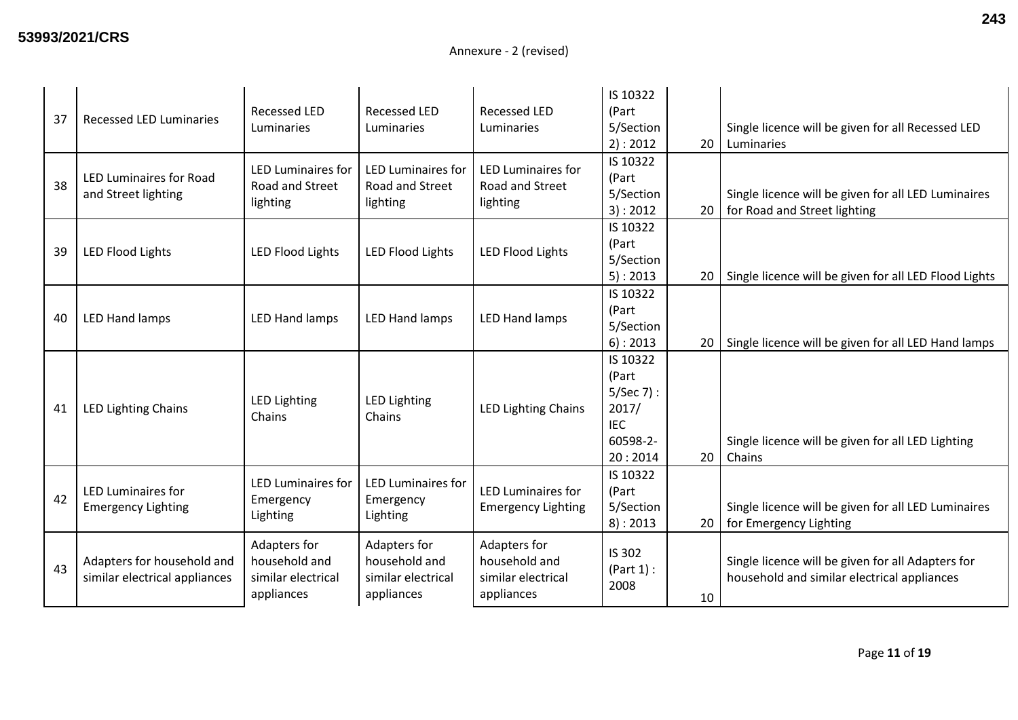| 37 | <b>Recessed LED Luminaries</b>                              | Recessed LED<br>Luminaries                                        | <b>Recessed LED</b><br>Luminaries                                 | <b>Recessed LED</b><br>Luminaries                                 | IS 10322<br>(Part<br>5/Section<br>2): 2012                                      | 20 | Single licence will be given for all Recessed LED<br>Luminaries                                  |
|----|-------------------------------------------------------------|-------------------------------------------------------------------|-------------------------------------------------------------------|-------------------------------------------------------------------|---------------------------------------------------------------------------------|----|--------------------------------------------------------------------------------------------------|
| 38 | <b>LED Luminaires for Road</b><br>and Street lighting       | <b>LED Luminaires for</b><br>Road and Street<br>lighting          | <b>LED Luminaires for</b><br>Road and Street<br>lighting          | <b>LED Luminaires for</b><br>Road and Street<br>lighting          | IS 10322<br>(Part<br>5/Section<br>3): 2012                                      | 20 | Single licence will be given for all LED Luminaires<br>for Road and Street lighting              |
| 39 | <b>LED Flood Lights</b>                                     | <b>LED Flood Lights</b>                                           | <b>LED Flood Lights</b>                                           | <b>LED Flood Lights</b>                                           | IS 10322<br>(Part<br>5/Section<br>$5$ ): 2013                                   | 20 | Single licence will be given for all LED Flood Lights                                            |
| 40 | <b>LED Hand lamps</b>                                       | <b>LED Hand lamps</b>                                             | <b>LED Hand lamps</b>                                             | LED Hand lamps                                                    | IS 10322<br>(Part<br>5/Section<br>6): 2013                                      | 20 | Single licence will be given for all LED Hand lamps                                              |
| 41 | <b>LED Lighting Chains</b>                                  | <b>LED Lighting</b><br>Chains                                     | <b>LED Lighting</b><br>Chains                                     | <b>LED Lighting Chains</b>                                        | IS 10322<br>(Part<br>$5/$ Sec 7):<br>2017/<br><b>IEC</b><br>60598-2-<br>20:2014 | 20 | Single licence will be given for all LED Lighting<br>Chains                                      |
| 42 | <b>LED Luminaires for</b><br><b>Emergency Lighting</b>      | <b>LED Luminaires for</b><br>Emergency<br>Lighting                | <b>LED Luminaires for</b><br>Emergency<br>Lighting                | <b>LED Luminaires for</b><br><b>Emergency Lighting</b>            | IS 10322<br>(Part<br>5/Section<br>8): 2013                                      | 20 | Single licence will be given for all LED Luminaires<br>for Emergency Lighting                    |
| 43 | Adapters for household and<br>similar electrical appliances | Adapters for<br>household and<br>similar electrical<br>appliances | Adapters for<br>household and<br>similar electrical<br>appliances | Adapters for<br>household and<br>similar electrical<br>appliances | IS 302<br>(Part 1):<br>2008                                                     | 10 | Single licence will be given for all Adapters for<br>household and similar electrical appliances |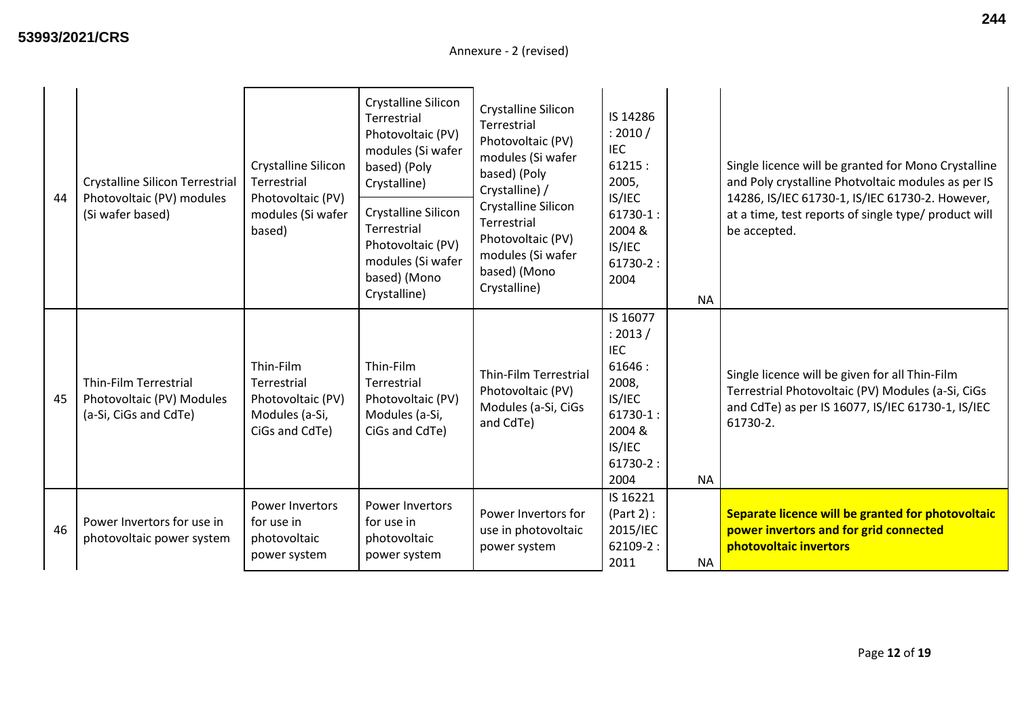| 44 | Crystalline Silicon Terrestrial<br>Photovoltaic (PV) modules<br>(Si wafer based) | Crystalline Silicon<br>Terrestrial<br>Photovoltaic (PV)<br>modules (Si wafer<br>based) | Crystalline Silicon<br>Terrestrial<br>Photovoltaic (PV)<br>modules (Si wafer<br>based) (Poly<br>Crystalline)<br>Crystalline Silicon<br>Terrestrial<br>Photovoltaic (PV)<br>modules (Si wafer<br>based) (Mono<br>Crystalline) | Crystalline Silicon<br>Terrestrial<br>Photovoltaic (PV)<br>modules (Si wafer<br>based) (Poly<br>Crystalline) /<br>Crystalline Silicon<br>Terrestrial<br>Photovoltaic (PV)<br>modules (Si wafer<br>based) (Mono<br>Crystalline) | IS 14286<br>: 2010 /<br><b>IEC</b><br>61215:<br>2005,<br>IS/IEC<br>$61730-1:$<br>2004 &<br>IS/IEC<br>$61730-2:$<br>2004    |           | Single licence will be granted for Mono Crystalline<br>and Poly crystalline Photvoltaic modules as per IS<br>14286, IS/IEC 61730-1, IS/IEC 61730-2. However,<br>at a time, test reports of single type/ product will<br>be accepted. |
|----|----------------------------------------------------------------------------------|----------------------------------------------------------------------------------------|------------------------------------------------------------------------------------------------------------------------------------------------------------------------------------------------------------------------------|--------------------------------------------------------------------------------------------------------------------------------------------------------------------------------------------------------------------------------|----------------------------------------------------------------------------------------------------------------------------|-----------|--------------------------------------------------------------------------------------------------------------------------------------------------------------------------------------------------------------------------------------|
|    |                                                                                  |                                                                                        |                                                                                                                                                                                                                              |                                                                                                                                                                                                                                |                                                                                                                            | <b>NA</b> |                                                                                                                                                                                                                                      |
| 45 | Thin-Film Terrestrial<br>Photovoltaic (PV) Modules<br>(a-Si, CiGs and CdTe)      | Thin-Film<br>Terrestrial<br>Photovoltaic (PV)<br>Modules (a-Si,<br>CiGs and CdTe)      | Thin-Film<br>Terrestrial<br>Photovoltaic (PV)<br>Modules (a-Si,<br>CiGs and CdTe)                                                                                                                                            | Thin-Film Terrestrial<br>Photovoltaic (PV)<br>Modules (a-Si, CiGs<br>and CdTe)                                                                                                                                                 | IS 16077<br>: 2013 /<br><b>IEC</b><br>61646:<br>2008,<br>IS/IEC<br>$61730 - 1$ :<br>2004 &<br>IS/IEC<br>$61730-2:$<br>2004 | <b>NA</b> | Single licence will be given for all Thin-Film<br>Terrestrial Photovoltaic (PV) Modules (a-Si, CiGs<br>and CdTe) as per IS 16077, IS/IEC 61730-1, IS/IEC<br>61730-2.                                                                 |
| 46 | Power Invertors for use in<br>photovoltaic power system                          | <b>Power Invertors</b><br>for use in<br>photovoltaic<br>power system                   | Power Invertors<br>for use in<br>photovoltaic<br>power system                                                                                                                                                                | Power Invertors for<br>use in photovoltaic<br>power system                                                                                                                                                                     | IS 16221<br>(Part 2):<br>2015/IEC<br>62109-2:<br>2011                                                                      | <b>NA</b> | Separate licence will be granted for photovoltaic<br>power invertors and for grid connected<br>photovoltaic invertors                                                                                                                |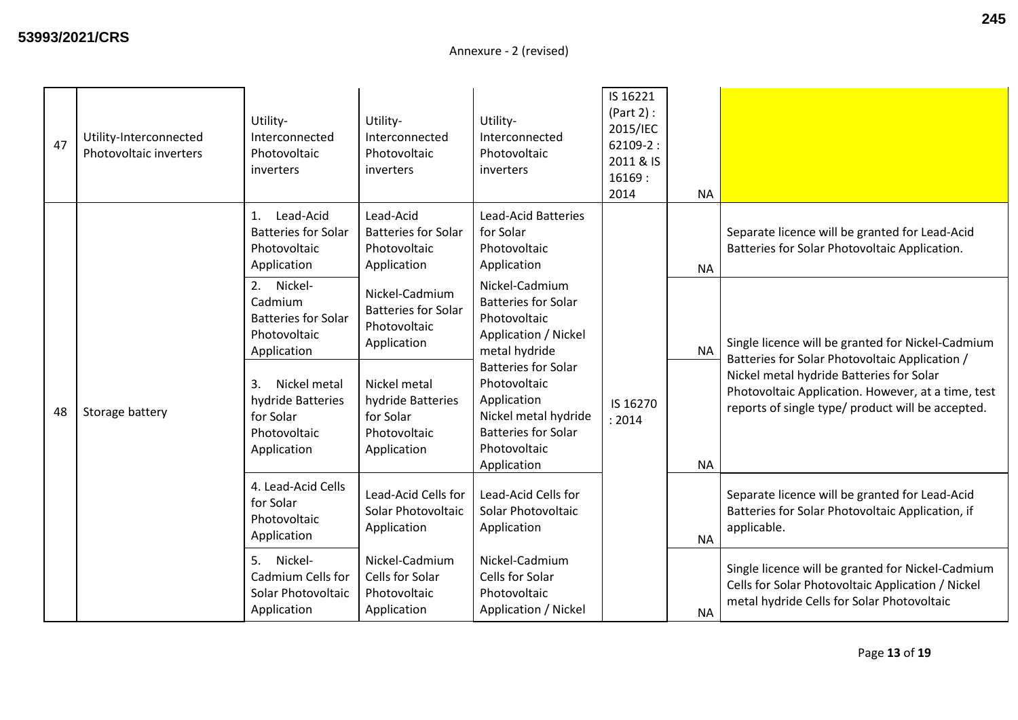| 47 | Utility-Interconnected<br>Photovoltaic inverters | Utility-<br>Interconnected<br>Photovoltaic<br>inverters                             | Utility-<br>Interconnected<br>Photovoltaic<br>inverters                       | Utility-<br>Interconnected<br>Photovoltaic<br>inverters                                                                                                                                                                                                 | IS 16221<br>(Part 2):<br>2015/IEC<br>62109-2:<br>2011 & IS<br>16169:<br>2014 | <b>NA</b> |                                                                                                                                                      |
|----|--------------------------------------------------|-------------------------------------------------------------------------------------|-------------------------------------------------------------------------------|---------------------------------------------------------------------------------------------------------------------------------------------------------------------------------------------------------------------------------------------------------|------------------------------------------------------------------------------|-----------|------------------------------------------------------------------------------------------------------------------------------------------------------|
|    |                                                  | Lead-Acid<br>1.<br><b>Batteries for Solar</b><br>Photovoltaic<br>Application        | Lead-Acid<br><b>Batteries for Solar</b><br>Photovoltaic<br>Application        | <b>Lead-Acid Batteries</b><br>for Solar<br>Photovoltaic<br>Application                                                                                                                                                                                  |                                                                              | NA.       | Separate licence will be granted for Lead-Acid<br>Batteries for Solar Photovoltaic Application.                                                      |
| 48 | Storage battery                                  | 2. Nickel-<br>Cadmium<br><b>Batteries for Solar</b><br>Photovoltaic<br>Application  | Nickel-Cadmium<br><b>Batteries for Solar</b><br>Photovoltaic<br>Application   | Nickel-Cadmium<br><b>Batteries for Solar</b><br>Photovoltaic<br>Application / Nickel<br>metal hydride<br><b>Batteries for Solar</b><br>Photovoltaic<br>Application<br>Nickel metal hydride<br><b>Batteries for Solar</b><br>Photovoltaic<br>Application | IS 16270<br>: 2014                                                           | <b>NA</b> | Single licence will be granted for Nickel-Cadmium<br>Batteries for Solar Photovoltaic Application /                                                  |
|    |                                                  | Nickel metal<br>3.<br>hydride Batteries<br>for Solar<br>Photovoltaic<br>Application | Nickel metal<br>hydride Batteries<br>for Solar<br>Photovoltaic<br>Application |                                                                                                                                                                                                                                                         |                                                                              | <b>NA</b> | Nickel metal hydride Batteries for Solar<br>Photovoltaic Application. However, at a time, test<br>reports of single type/ product will be accepted.  |
|    |                                                  | 4. Lead-Acid Cells<br>for Solar<br>Photovoltaic<br>Application                      | Lead-Acid Cells for<br>Solar Photovoltaic<br>Application                      | Lead-Acid Cells for<br>Solar Photovoltaic<br>Application                                                                                                                                                                                                |                                                                              | <b>NA</b> | Separate licence will be granted for Lead-Acid<br>Batteries for Solar Photovoltaic Application, if<br>applicable.                                    |
|    |                                                  | 5.<br>Nickel-<br>Cadmium Cells for<br>Solar Photovoltaic<br>Application             | Nickel-Cadmium<br>Cells for Solar<br>Photovoltaic<br>Application              | Nickel-Cadmium<br>Cells for Solar<br>Photovoltaic<br>Application / Nickel                                                                                                                                                                               |                                                                              | <b>NA</b> | Single licence will be granted for Nickel-Cadmium<br>Cells for Solar Photovoltaic Application / Nickel<br>metal hydride Cells for Solar Photovoltaic |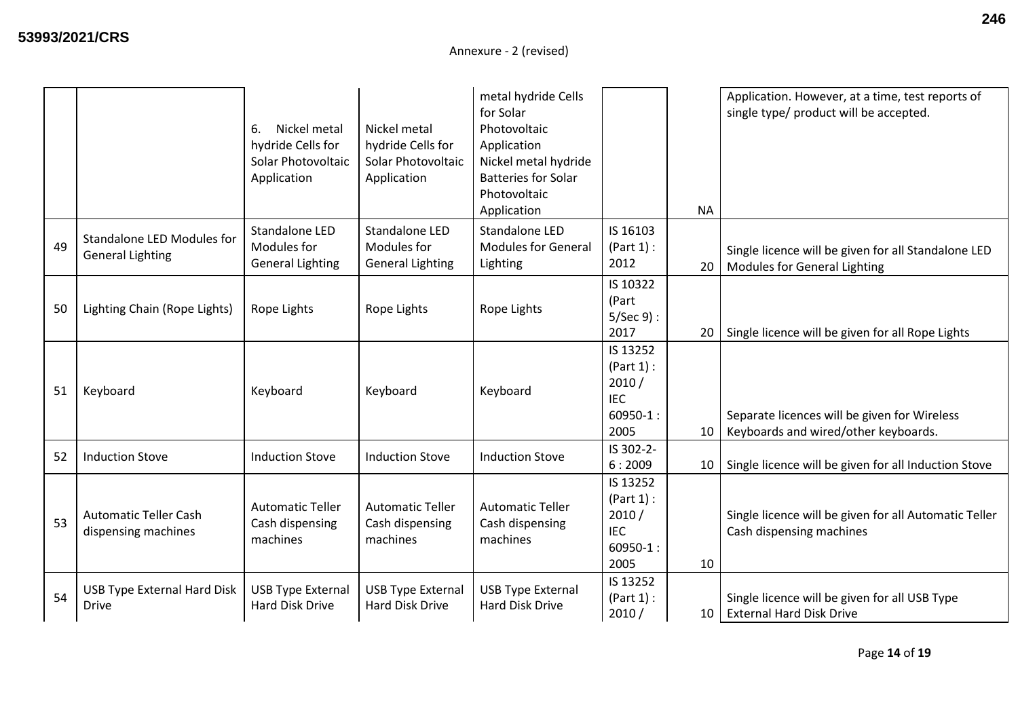|    |                                                              | Nickel metal<br>6.<br>hydride Cells for<br>Solar Photovoltaic<br>Application | Nickel metal<br>hydride Cells for<br>Solar Photovoltaic<br>Application | metal hydride Cells<br>for Solar<br>Photovoltaic<br>Application<br>Nickel metal hydride<br><b>Batteries for Solar</b><br>Photovoltaic<br>Application |                                                                       | <b>NA</b>       | Application. However, at a time, test reports of<br>single type/ product will be accepted. |
|----|--------------------------------------------------------------|------------------------------------------------------------------------------|------------------------------------------------------------------------|------------------------------------------------------------------------------------------------------------------------------------------------------|-----------------------------------------------------------------------|-----------------|--------------------------------------------------------------------------------------------|
| 49 | <b>Standalone LED Modules for</b><br><b>General Lighting</b> | Standalone LED<br>Modules for<br><b>General Lighting</b>                     | Standalone LED<br>Modules for<br><b>General Lighting</b>               | <b>Standalone LED</b><br><b>Modules for General</b><br>Lighting                                                                                      | IS 16103<br>(Part 1):<br>2012                                         | 20              | Single licence will be given for all Standalone LED<br>Modules for General Lighting        |
| 50 | Lighting Chain (Rope Lights)                                 | Rope Lights                                                                  | Rope Lights                                                            | Rope Lights                                                                                                                                          | IS 10322<br>(Part<br>$5/Sec 9$ :<br>2017                              | 20              | Single licence will be given for all Rope Lights                                           |
| 51 | Keyboard                                                     | Keyboard                                                                     | Keyboard                                                               | Keyboard                                                                                                                                             | IS 13252<br>(Part 1):<br>2010/<br><b>IEC</b><br>$60950 - 1$ :<br>2005 | 10              | Separate licences will be given for Wireless<br>Keyboards and wired/other keyboards.       |
| 52 | <b>Induction Stove</b>                                       | <b>Induction Stove</b>                                                       | <b>Induction Stove</b>                                                 | <b>Induction Stove</b>                                                                                                                               | IS 302-2-<br>6:2009                                                   | 10              | Single licence will be given for all Induction Stove                                       |
| 53 | <b>Automatic Teller Cash</b><br>dispensing machines          | <b>Automatic Teller</b><br>Cash dispensing<br>machines                       | <b>Automatic Teller</b><br>Cash dispensing<br>machines                 | <b>Automatic Teller</b><br>Cash dispensing<br>machines                                                                                               | IS 13252<br>(Part 1):<br>2010/<br><b>IEC</b><br>$60950 - 1:$<br>2005  | 10              | Single licence will be given for all Automatic Teller<br>Cash dispensing machines          |
| 54 | <b>USB Type External Hard Disk</b><br><b>Drive</b>           | <b>USB Type External</b><br>Hard Disk Drive                                  | <b>USB Type External</b><br>Hard Disk Drive                            | <b>USB Type External</b><br>Hard Disk Drive                                                                                                          | IS 13252<br>(Part 1):<br>2010/                                        | 10 <sup>1</sup> | Single licence will be given for all USB Type<br><b>External Hard Disk Drive</b>           |

Page **14** of **19**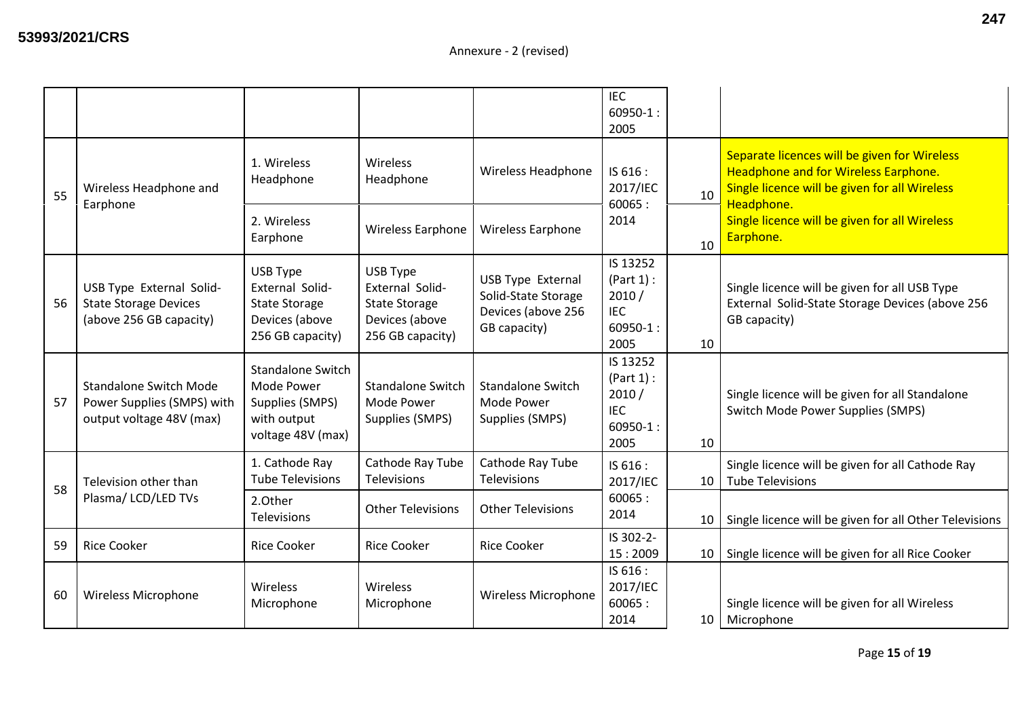|    |                                                                                         |                                                                                               |                                                                                                  |                                                                                       | <b>IEC</b><br>$60950-1$ :<br>2005                                     |    |                                                                                                                                       |
|----|-----------------------------------------------------------------------------------------|-----------------------------------------------------------------------------------------------|--------------------------------------------------------------------------------------------------|---------------------------------------------------------------------------------------|-----------------------------------------------------------------------|----|---------------------------------------------------------------------------------------------------------------------------------------|
| 55 | Wireless Headphone and                                                                  | 1. Wireless<br>Headphone                                                                      | <b>Wireless</b><br>Headphone                                                                     | Wireless Headphone                                                                    | IS 616 :<br>2017/IEC                                                  | 10 | Separate licences will be given for Wireless<br>Headphone and for Wireless Earphone.<br>Single licence will be given for all Wireless |
|    | Earphone                                                                                | 2. Wireless<br>Earphone                                                                       | Wireless Earphone                                                                                | <b>Wireless Earphone</b>                                                              | 60065:<br>2014                                                        | 10 | Headphone.<br>Single licence will be given for all Wireless<br>Earphone.                                                              |
| 56 | USB Type External Solid-<br><b>State Storage Devices</b><br>(above 256 GB capacity)     | USB Type<br>External Solid-<br><b>State Storage</b><br>Devices (above<br>256 GB capacity)     | USB Type<br><b>External Solid-</b><br><b>State Storage</b><br>Devices (above<br>256 GB capacity) | <b>USB Type External</b><br>Solid-State Storage<br>Devices (above 256<br>GB capacity) | IS 13252<br>(Part 1):<br>2010/<br><b>IEC</b><br>$60950-1$ :<br>2005   | 10 | Single licence will be given for all USB Type<br>External Solid-State Storage Devices (above 256<br>GB capacity)                      |
| 57 | <b>Standalone Switch Mode</b><br>Power Supplies (SMPS) with<br>output voltage 48V (max) | <b>Standalone Switch</b><br>Mode Power<br>Supplies (SMPS)<br>with output<br>voltage 48V (max) | <b>Standalone Switch</b><br>Mode Power<br>Supplies (SMPS)                                        | <b>Standalone Switch</b><br>Mode Power<br>Supplies (SMPS)                             | IS 13252<br>(Part 1):<br>2010/<br><b>IEC</b><br>$60950 - 1$ :<br>2005 | 10 | Single licence will be given for all Standalone<br><b>Switch Mode Power Supplies (SMPS)</b>                                           |
| 58 | Television other than<br>Plasma/ LCD/LED TVs                                            | 1. Cathode Ray<br><b>Tube Televisions</b>                                                     | Cathode Ray Tube<br><b>Televisions</b>                                                           | Cathode Ray Tube<br>Televisions                                                       | IS 616:<br>2017/IEC                                                   | 10 | Single licence will be given for all Cathode Ray<br><b>Tube Televisions</b>                                                           |
|    |                                                                                         | 2.Other<br>Televisions                                                                        | <b>Other Televisions</b>                                                                         | <b>Other Televisions</b>                                                              | 60065:<br>2014                                                        | 10 | Single licence will be given for all Other Televisions                                                                                |
| 59 | <b>Rice Cooker</b>                                                                      | <b>Rice Cooker</b>                                                                            | <b>Rice Cooker</b>                                                                               | <b>Rice Cooker</b>                                                                    | IS 302-2-<br>15:2009                                                  | 10 | Single licence will be given for all Rice Cooker                                                                                      |
| 60 | Wireless Microphone                                                                     | Wireless<br>Microphone                                                                        | Wireless<br>Microphone                                                                           | <b>Wireless Microphone</b>                                                            | IS 616 :<br>2017/IEC<br>60065:<br>2014                                | 10 | Single licence will be given for all Wireless<br>Microphone                                                                           |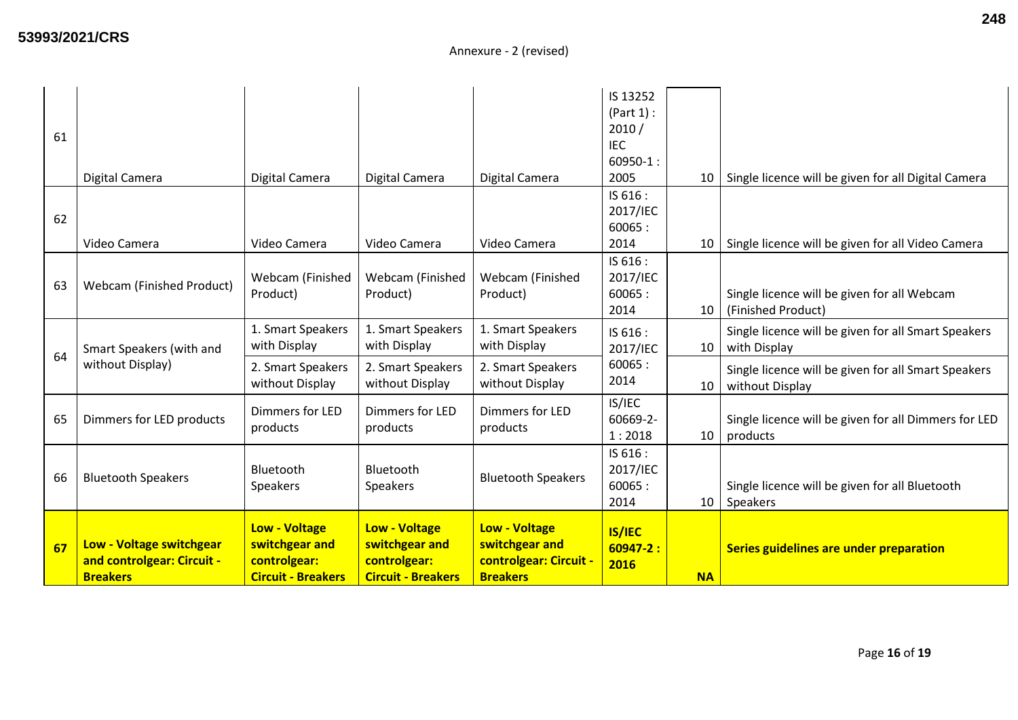| 61 |                                                                           |                                                                                     |                                                                                     |                                                                                     | IS 13252<br>(Part 1):<br>2010/<br><b>IEC</b><br>$60950 - 1$ : |           |                                                                        |
|----|---------------------------------------------------------------------------|-------------------------------------------------------------------------------------|-------------------------------------------------------------------------------------|-------------------------------------------------------------------------------------|---------------------------------------------------------------|-----------|------------------------------------------------------------------------|
|    | Digital Camera                                                            | Digital Camera                                                                      | Digital Camera                                                                      | Digital Camera                                                                      | 2005                                                          | 10        | Single licence will be given for all Digital Camera                    |
| 62 | Video Camera                                                              | Video Camera                                                                        | Video Camera                                                                        | Video Camera                                                                        | IS 616 :<br>2017/IEC<br>60065:<br>2014                        | 10        | Single licence will be given for all Video Camera                      |
| 63 | Webcam (Finished Product)                                                 | Webcam (Finished<br>Product)                                                        | Webcam (Finished<br>Product)                                                        | Webcam (Finished<br>Product)                                                        | IS 616 :<br>2017/IEC<br>60065:<br>2014                        |           | Single licence will be given for all Webcam<br>10   (Finished Product) |
| 64 | Smart Speakers (with and                                                  | 1. Smart Speakers<br>with Display                                                   | 1. Smart Speakers<br>with Display                                                   | 1. Smart Speakers<br>with Display                                                   | IS 616:<br>2017/IEC                                           | 10        | Single licence will be given for all Smart Speakers<br>with Display    |
|    | without Display)                                                          | 2. Smart Speakers<br>without Display                                                | 2. Smart Speakers<br>without Display                                                | 2. Smart Speakers<br>without Display                                                | 60065:<br>2014                                                | 10        | Single licence will be given for all Smart Speakers<br>without Display |
| 65 | Dimmers for LED products                                                  | Dimmers for LED<br>products                                                         | Dimmers for LED<br>products                                                         | Dimmers for LED<br>products                                                         | IS/IEC<br>60669-2-<br>1:2018                                  | 10        | Single licence will be given for all Dimmers for LED<br>products       |
| 66 | <b>Bluetooth Speakers</b>                                                 | Bluetooth<br>Speakers                                                               | Bluetooth<br>Speakers                                                               | <b>Bluetooth Speakers</b>                                                           | IS 616 :<br>2017/IEC<br>60065:<br>2014                        | 10        | Single licence will be given for all Bluetooth<br>Speakers             |
| 67 | Low - Voltage switchgear<br>and controlgear: Circuit -<br><b>Breakers</b> | <b>Low - Voltage</b><br>switchgear and<br>controlgear:<br><b>Circuit - Breakers</b> | <b>Low - Voltage</b><br>switchgear and<br>controlgear:<br><b>Circuit - Breakers</b> | <b>Low - Voltage</b><br>switchgear and<br>controlgear: Circuit -<br><b>Breakers</b> | <b>IS/IEC</b><br>$60947 - 2:$<br>2016                         | <b>NA</b> | Series guidelines are under preparation                                |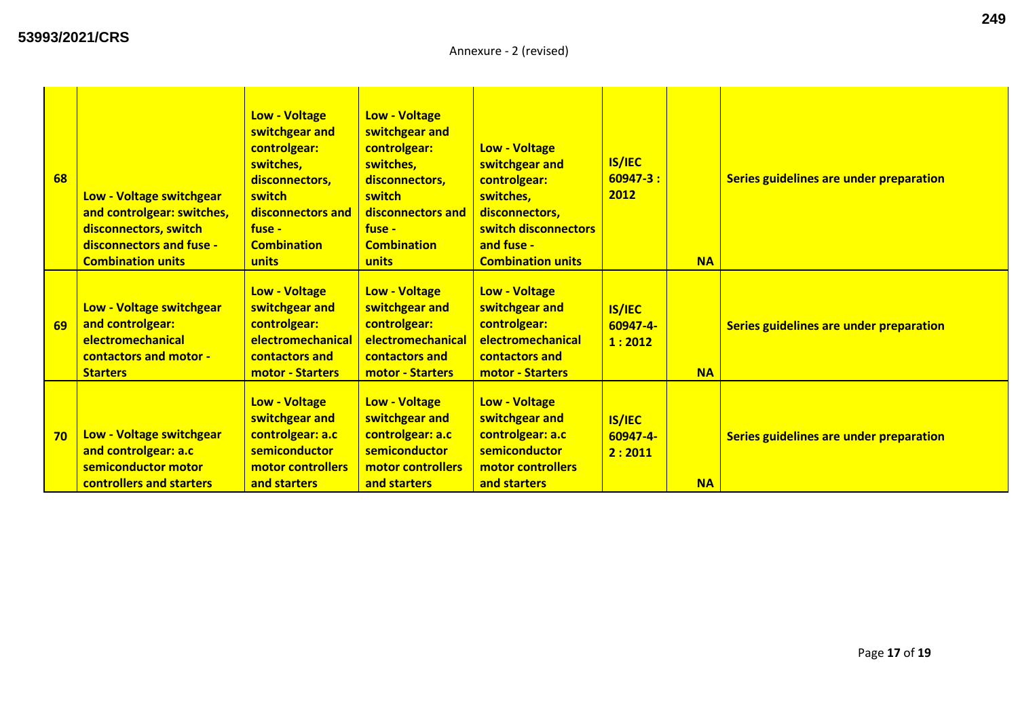| 68 | Low - Voltage switchgear<br>and controlgear: switches,<br>disconnectors, switch<br>disconnectors and fuse -<br><b>Combination units</b> | <b>Low - Voltage</b><br>switchgear and<br>controlgear:<br>switches,<br>disconnectors,<br>switch<br>disconnectors and<br>$fuse -$<br><b>Combination</b><br>units | <b>Low - Voltage</b><br>switchgear and<br>controlgear:<br>switches,<br>disconnectors,<br>switch<br>disconnectors and<br>fuse -<br><b>Combination</b><br>units | <b>Low - Voltage</b><br>switchgear and<br>controlgear:<br>switches,<br>disconnectors,<br>switch disconnectors<br>and fuse -<br><b>Combination units</b> | <b>IS/IEC</b><br>$60947 - 3:$<br>2012 | <b>NA</b> | Series guidelines are under preparation |
|----|-----------------------------------------------------------------------------------------------------------------------------------------|-----------------------------------------------------------------------------------------------------------------------------------------------------------------|---------------------------------------------------------------------------------------------------------------------------------------------------------------|---------------------------------------------------------------------------------------------------------------------------------------------------------|---------------------------------------|-----------|-----------------------------------------|
| 69 | Low - Voltage switchgear<br>and controlgear:<br>electromechanical<br>contactors and motor -<br><b>Starters</b>                          | <b>Low - Voltage</b><br>switchgear and<br>controlgear:<br>electromechanical<br>contactors and<br>motor - Starters                                               | <b>Low - Voltage</b><br>switchgear and<br>controlgear:<br>electromechanical<br>contactors and<br><b>motor - Starters</b>                                      | <b>Low - Voltage</b><br>switchgear and<br>controlgear:<br>electromechanical<br>contactors and<br><b>motor - Starters</b>                                | <b>IS/IEC</b><br>60947-4-<br>1:2012   | <b>NA</b> | Series guidelines are under preparation |
| 70 | Low - Voltage switchgear<br>and controlgear: a.c<br>semiconductor motor<br>controllers and starters                                     | <b>Low - Voltage</b><br>switchgear and<br>controlgear: a.c<br>semiconductor<br>motor controllers<br>and starters                                                | <b>Low - Voltage</b><br>switchgear and<br>controlgear: a.c<br>semiconductor<br>motor controllers<br>and starters                                              | <b>Low - Voltage</b><br>switchgear and<br>controlgear: a.c<br>semiconductor<br>motor controllers<br>and starters                                        | <b>IS/IEC</b><br>60947-4-<br>2:2011   | <b>NA</b> | Series guidelines are under preparation |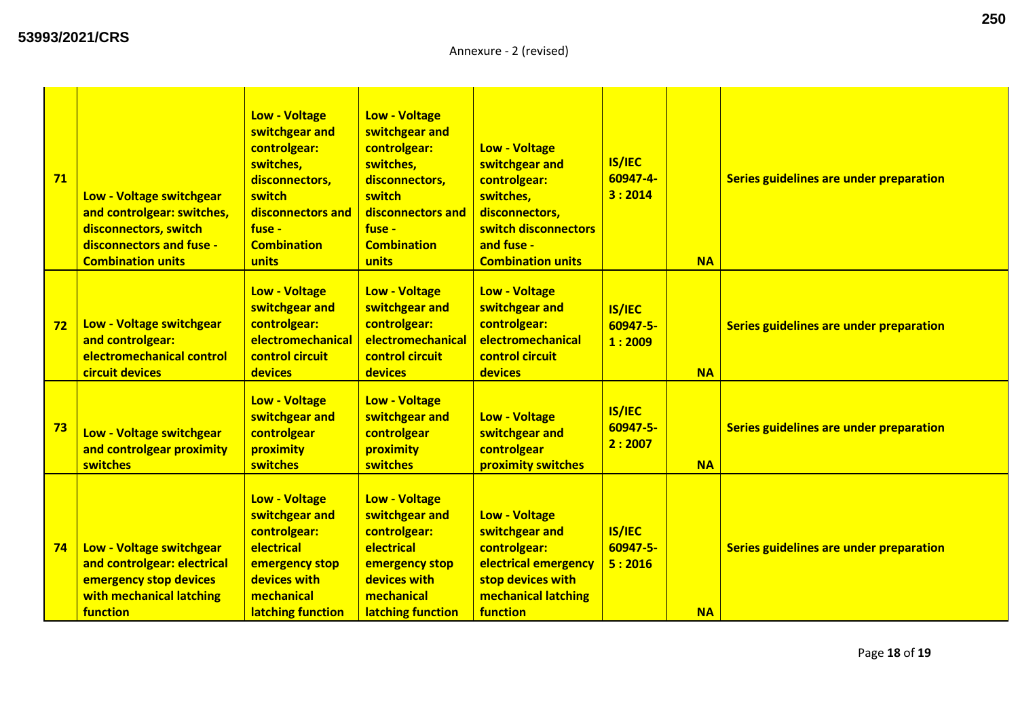| 71 | Low - Voltage switchgear<br>and controlgear: switches,<br>disconnectors, switch<br>disconnectors and fuse -<br><b>Combination units</b> | <b>Low - Voltage</b><br>switchgear and<br>controlgear:<br>switches,<br>disconnectors,<br>switch<br>disconnectors and<br>fuse -<br><b>Combination</b><br>units | <b>Low - Voltage</b><br>switchgear and<br>controlgear:<br>switches,<br>disconnectors,<br>switch<br>disconnectors and<br>fuse -<br><b>Combination</b><br>units | <b>Low - Voltage</b><br>switchgear and<br>controlgear:<br>switches,<br>disconnectors,<br>switch disconnectors<br>and fuse -<br><b>Combination units</b> | <b>IS/IEC</b><br>60947-4-<br>3:2014 | <b>NA</b> | Series guidelines are under preparation |
|----|-----------------------------------------------------------------------------------------------------------------------------------------|---------------------------------------------------------------------------------------------------------------------------------------------------------------|---------------------------------------------------------------------------------------------------------------------------------------------------------------|---------------------------------------------------------------------------------------------------------------------------------------------------------|-------------------------------------|-----------|-----------------------------------------|
| 72 | Low - Voltage switchgear<br>and controlgear:<br>electromechanical control<br>circuit devices                                            | <b>Low - Voltage</b><br>switchgear and<br>controlgear:<br>electromechanical<br>control circuit<br><b>devices</b>                                              | <b>Low - Voltage</b><br>switchgear and<br>controlgear:<br>electromechanical<br>control circuit<br>devices                                                     | <b>Low - Voltage</b><br>switchgear and<br>controlgear:<br>electromechanical<br>control circuit<br>devices                                               | <b>IS/IEC</b><br>60947-5-<br>1:2009 | <b>NA</b> | Series guidelines are under preparation |
| 73 | Low - Voltage switchgear<br>and controlgear proximity<br>switches                                                                       | <b>Low - Voltage</b><br>switchgear and<br>controlgear<br>proximity<br>switches                                                                                | <b>Low - Voltage</b><br>switchgear and<br>controlgear<br>proximity<br><b>switches</b>                                                                         | <b>Low - Voltage</b><br>switchgear and<br>controlgear<br>proximity switches                                                                             | <b>IS/IEC</b><br>60947-5-<br>2:2007 | <b>NA</b> | Series guidelines are under preparation |
| 74 | Low - Voltage switchgear<br>and controlgear: electrical<br>emergency stop devices<br>with mechanical latching<br>function               | <b>Low - Voltage</b><br>switchgear and<br>controlgear:<br>electrical<br>emergency stop<br>devices with<br>mechanical<br>latching function                     | <b>Low - Voltage</b><br>switchgear and<br>controlgear:<br>electrical<br>emergency stop<br>devices with<br>mechanical<br>latching function                     | <b>Low - Voltage</b><br>switchgear and<br>controlgear:<br>electrical emergency<br>stop devices with<br>mechanical latching<br>function                  | <b>IS/IEC</b><br>60947-5-<br>5:2016 | <b>NA</b> | Series guidelines are under preparation |